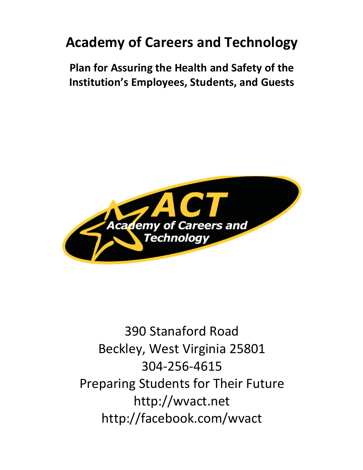## **Academy of Careers and Technology**

**Plan for Assuring the Health and Safety of the Institution's Employees, Students, and Guests**



390 Stanaford Road Beckley, West Virginia 25801 304-256-4615 Preparing Students for Their Future http://wvact.net http://facebook.com/wvact